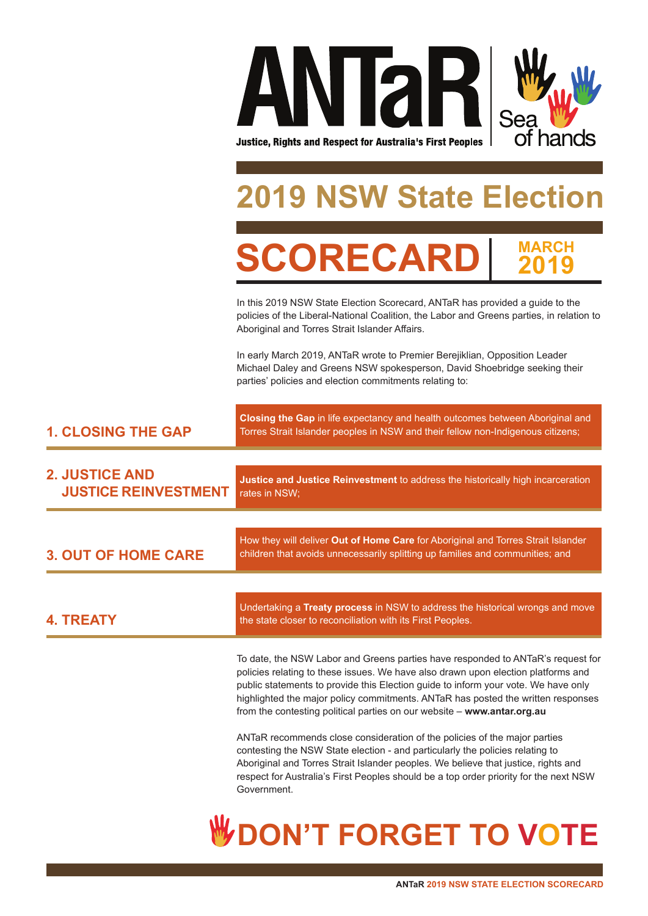

# **2019 State Election**

**CORECA MARCH<br>2010 2019**

In this 2019 NSW State Election Scorecard, ANTaR has provided a guide to the policies of the Liberal-National Coalition, the Labor and Greens parties, in relation to Aboriginal and Torres Strait Islander Affairs.

In early March 2019, ANTaR wrote to Premier Berejiklian, Opposition Leader Michael Daley and Greens NSW spokesperson, David Shoebridge seeking their parties' policies and election commitments relating to:

| <b>1. CLOSING THE GAP</b>                            | Closing the Gap in life expectancy and health outcomes between Aboriginal and<br>Torres Strait Islander peoples in NSW and their fellow non-Indigenous citizens;                                                                                                                                                                                                                                                          |  |
|------------------------------------------------------|---------------------------------------------------------------------------------------------------------------------------------------------------------------------------------------------------------------------------------------------------------------------------------------------------------------------------------------------------------------------------------------------------------------------------|--|
| <b>2. JUSTICE AND</b><br><b>JUSTICE REINVESTMENT</b> | Justice and Justice Reinvestment to address the historically high incarceration<br>rates in NSW;                                                                                                                                                                                                                                                                                                                          |  |
| <b>3. OUT OF HOME CARE</b>                           | How they will deliver Out of Home Care for Aboriginal and Torres Strait Islander<br>children that avoids unnecessarily splitting up families and communities; and                                                                                                                                                                                                                                                         |  |
| <b>4. TREATY</b>                                     | Undertaking a Treaty process in NSW to address the historical wrongs and move<br>the state closer to reconciliation with its First Peoples.                                                                                                                                                                                                                                                                               |  |
|                                                      | To date, the NSW Labor and Greens parties have responded to ANTaR's request for<br>policies relating to these issues. We have also drawn upon election platforms and<br>public statements to provide this Election guide to inform your vote. We have only<br>highlighted the major policy commitments. ANTaR has posted the written responses<br>from the contesting political parties on our website - www.antar.org.au |  |
|                                                      | ANTaR recommends close consideration of the policies of the major parties<br>contesting the NSW State election - and particularly the policies relating to<br>Aboriginal and Torres Strait Islander peoples. We believe that justice, rights and<br>respect for Australia's First Peoples should be a top order priority for the next NSW<br>Government.                                                                  |  |
|                                                      | <b>DN'T FORGET</b>                                                                                                                                                                                                                                                                                                                                                                                                        |  |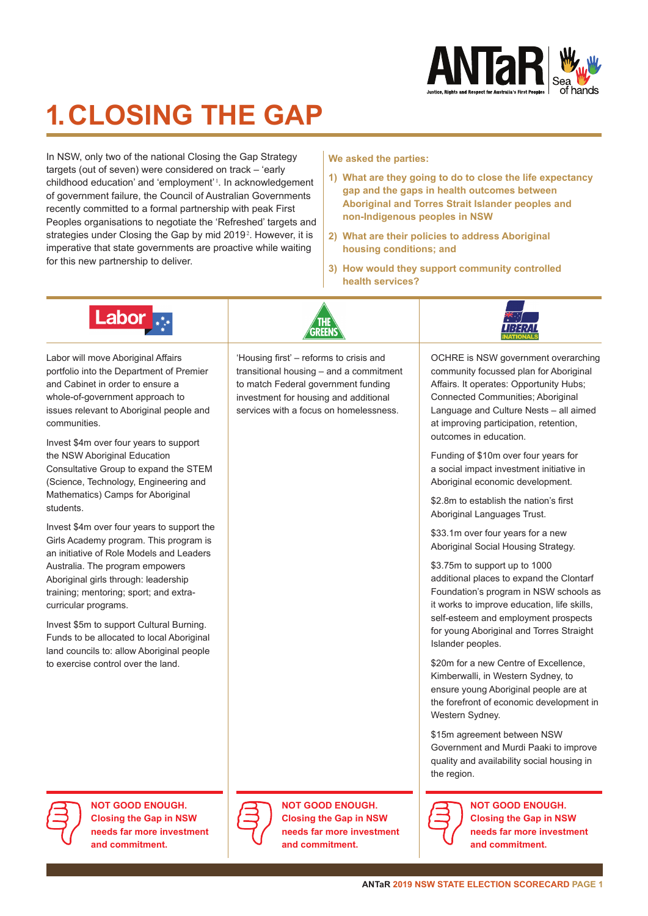

## **1. CLOSING THE GAP**

In NSW, only two of the national Closing the Gap Strategy targets (out of seven) were considered on track – 'early childhood education' and 'employment'<sup>1</sup>. In acknowledgement of government failure, the Council of Australian Governments recently committed to a formal partnership with peak First Peoples organisations to negotiate the 'Refreshed' targets and strategies under Closing the Gap by mid 2019<sup>2</sup>. However, it is imperative that state governments are proactive while waiting for this new partnership to deliver.

**We asked the parties:** 

- **1) What are they going to do to close the life expectancy gap and the gaps in health outcomes between Aboriginal and Torres Strait Islander peoples and non-Indigenous peoples in NSW**
- **2) What are their policies to address Aboriginal housing conditions; and**
- **3) How would they support community controlled health services?**



Labor will move Aboriginal Affairs portfolio into the Department of Premier and Cabinet in order to ensure a whole-of-government approach to issues relevant to Aboriginal people and communities.

Invest \$4m over four years to support the NSW Aboriginal Education Consultative Group to expand the STEM (Science, Technology, Engineering and Mathematics) Camps for Aboriginal students.

Invest \$4m over four years to support the Girls Academy program. This program is an initiative of Role Models and Leaders Australia. The program empowers Aboriginal girls through: leadership training; mentoring; sport; and extracurricular programs.

Invest \$5m to support Cultural Burning. Funds to be allocated to local Aboriginal land councils to: allow Aboriginal people to exercise control over the land.

'Housing first' – reforms to crisis and transitional housing – and a commitment to match Federal government funding investment for housing and additional services with a focus on homelessness.



OCHRE is NSW government overarching community focussed plan for Aboriginal Affairs. It operates: Opportunity Hubs; Connected Communities; Aboriginal Language and Culture Nests – all aimed at improving participation, retention, outcomes in education.

Funding of \$10m over four years for a social impact investment initiative in Aboriginal economic development.

\$2.8m to establish the nation's first Aboriginal Languages Trust.

\$33.1m over four years for a new Aboriginal Social Housing Strategy.

\$3.75m to support up to 1000 additional places to expand the Clontarf Foundation's program in NSW schools as it works to improve education, life skills, self-esteem and employment prospects for young Aboriginal and Torres Straight Islander peoples.

\$20m for a new Centre of Excellence. Kimberwalli, in Western Sydney, to ensure young Aboriginal people are at the forefront of economic development in Western Sydney.

\$15m agreement between NSW Government and Murdi Paaki to improve quality and availability social housing in the region.



**NOT GOOD ENOUGH. Closing the Gap in NSW needs far more investment and commitment.**





**NOT GOOD ENOUGH. Closing the Gap in NSW needs far more investment and commitment.**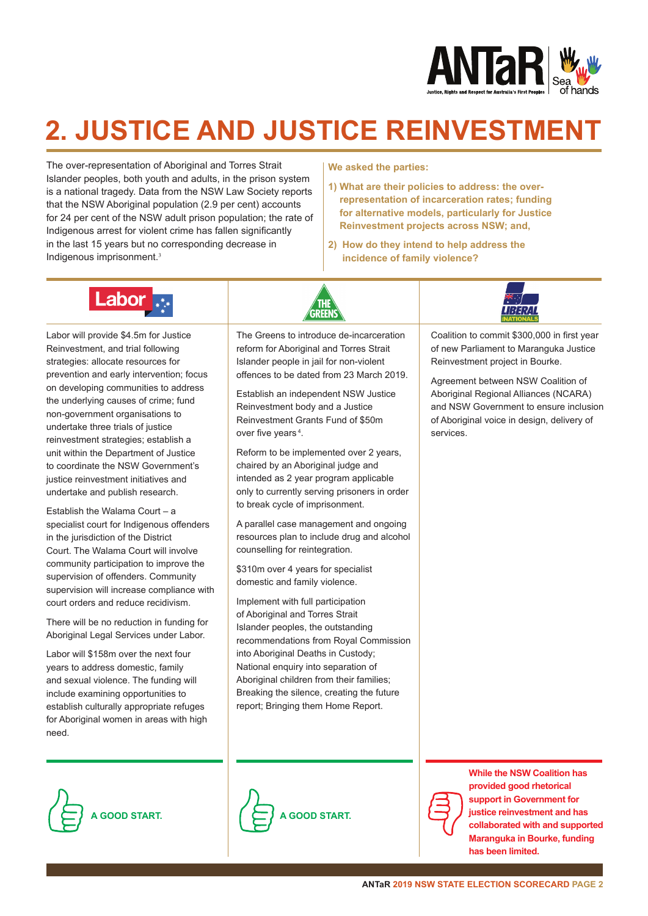

### **2. JUSTICE AND JUSTICE REINVESTMENT**

The over-representation of Aboriginal and Torres Strait Islander peoples, both youth and adults, in the prison system is a national tragedy. Data from the NSW Law Society reports that the NSW Aboriginal population (2.9 per cent) accounts for 24 per cent of the NSW adult prison population; the rate of Indigenous arrest for violent crime has fallen significantly in the last 15 years but no corresponding decrease in Indigenous imprisonment.<sup>3</sup>

#### **We asked the parties:**

- **1) What are their policies to address: the overrepresentation of incarceration rates; funding for alternative models, particularly for Justice Reinvestment projects across NSW; and,**
- **2) How do they intend to help address the incidence of family violence?**



Labor will provide \$4.5m for Justice Reinvestment, and trial following strategies: allocate resources for prevention and early intervention; focus on developing communities to address the underlying causes of crime; fund non-government organisations to undertake three trials of justice reinvestment strategies; establish a unit within the Department of Justice to coordinate the NSW Government's justice reinvestment initiatives and undertake and publish research.

Establish the Walama Court – a specialist court for Indigenous offenders in the jurisdiction of the District Court. The Walama Court will involve community participation to improve the supervision of offenders. Community supervision will increase compliance with court orders and reduce recidivism.

There will be no reduction in funding for Aboriginal Legal Services under Labor.

Labor will \$158m over the next four years to address domestic, family and sexual violence. The funding will include examining opportunities to establish culturally appropriate refuges for Aboriginal women in areas with high need.

The Greens to introduce de-incarceration reform for Aboriginal and Torres Strait Islander people in jail for non-violent offences to be dated from 23 March 2019.

GRFFN

Establish an independent NSW Justice Reinvestment body and a Justice Reinvestment Grants Fund of \$50m over five years<sup>4</sup>.

Reform to be implemented over 2 years, chaired by an Aboriginal judge and intended as 2 year program applicable only to currently serving prisoners in order to break cycle of imprisonment.

A parallel case management and ongoing resources plan to include drug and alcohol counselling for reintegration.

\$310m over 4 years for specialist domestic and family violence.

Implement with full participation of Aboriginal and Torres Strait Islander peoples, the outstanding recommendations from Royal Commission into Aboriginal Deaths in Custody: National enquiry into separation of Aboriginal children from their families; Breaking the silence, creating the future report; Bringing them Home Report.



Coalition to commit \$300,000 in first year of new Parliament to Maranguka Justice Reinvestment project in Bourke.

Agreement between NSW Coalition of Aboriginal Regional Alliances (NCARA) and NSW Government to ensure inclusion of Aboriginal voice in design, delivery of services.







**While the NSW Coalition has provided good rhetorical support in Government for justice reinvestment and has collaborated with and supported Maranguka in Bourke, funding has been limited.**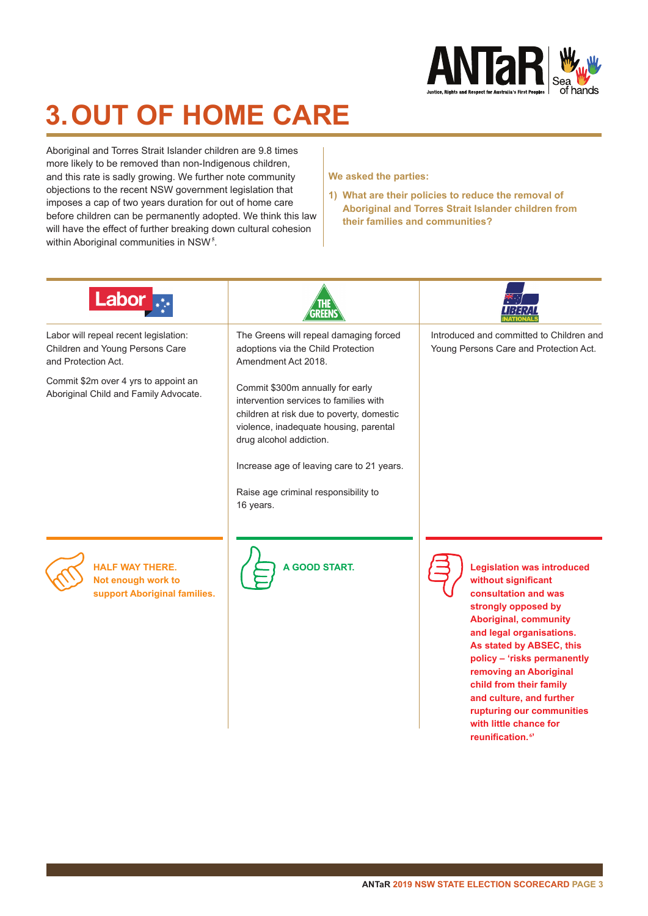

## **3. OUT OF HOME CARE**

Aboriginal and Torres Strait Islander children are 9.8 times more likely to be removed than non-Indigenous children, and this rate is sadly growing. We further note community objections to the recent NSW government legislation that imposes a cap of two years duration for out of home care before children can be permanently adopted. We think this law will have the effect of further breaking down cultural cohesion within Aboriginal communities in NSW**<sup>5</sup>** .

#### **We asked the parties:**

**1) What are their policies to reduce the removal of Aboriginal and Torres Strait Islander children from their families and communities?** 

| Labor                                                                                           |                                                                                                                                                                                                                                                                                                |                                                                                                                                                                                                                                                                                                                                                                                                        |
|-------------------------------------------------------------------------------------------------|------------------------------------------------------------------------------------------------------------------------------------------------------------------------------------------------------------------------------------------------------------------------------------------------|--------------------------------------------------------------------------------------------------------------------------------------------------------------------------------------------------------------------------------------------------------------------------------------------------------------------------------------------------------------------------------------------------------|
| Labor will repeal recent legislation:<br>Children and Young Persons Care<br>and Protection Act. | The Greens will repeal damaging forced<br>adoptions via the Child Protection<br>Amendment Act 2018.                                                                                                                                                                                            | Introduced and committed to Children and<br>Young Persons Care and Protection Act.                                                                                                                                                                                                                                                                                                                     |
| Commit \$2m over 4 yrs to appoint an<br>Aboriginal Child and Family Advocate.                   | Commit \$300m annually for early<br>intervention services to families with<br>children at risk due to poverty, domestic<br>violence, inadequate housing, parental<br>drug alcohol addiction.<br>Increase age of leaving care to 21 years.<br>Raise age criminal responsibility to<br>16 years. |                                                                                                                                                                                                                                                                                                                                                                                                        |
| <b>HALF WAY THERE.</b><br>Not enough work to<br>support Aboriginal families.                    | <b>A GOOD START.</b>                                                                                                                                                                                                                                                                           | <b>Legislation was introduced</b><br>without significant<br>consultation and was<br>strongly opposed by<br><b>Aboriginal, community</b><br>and legal organisations.<br>As stated by ABSEC, this<br>policy - 'risks permanently<br>removing an Aboriginal<br>child from their family<br>and culture, and further<br>rupturing our communities<br>with little chance for<br>reunification. <sup>67</sup> |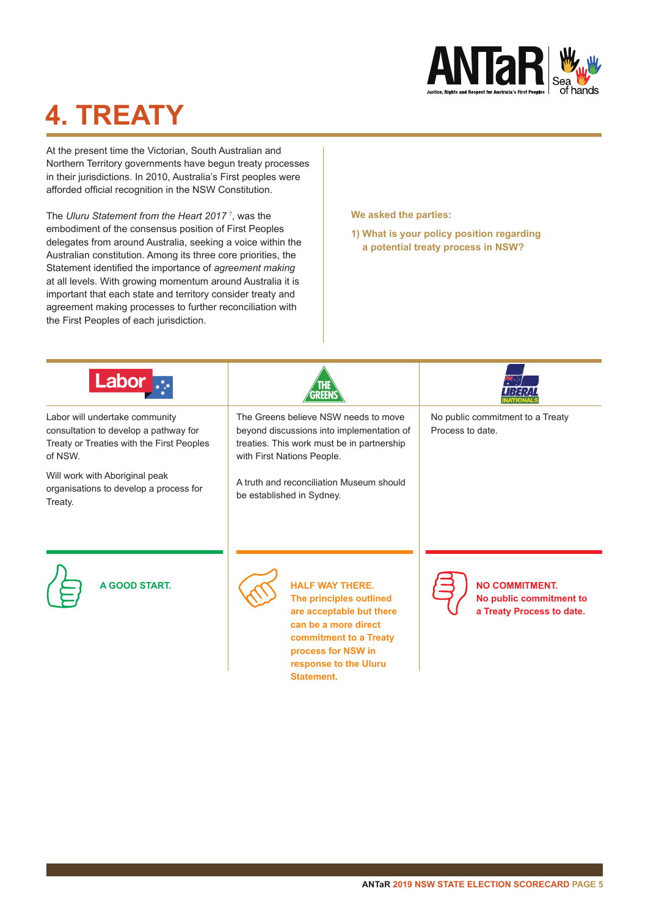

## **4. TREATY**

At the present time the Victorian, South Australian and Northern Territory governments have begun treaty processes in their jurisdictions. In 2010, Australia's First peoples were afforded official recognition in the NSW Constitution.

The *Uluru Statement from the Heart 2017* <sup>7</sup> , was the embodiment of the consensus position of First Peoples delegates from around Australia, seeking a voice within the Australian constitution. Among its three core priorities, the Statement identified the importance of *agreement making*  at all levels. With growing momentum around Australia it is important that each state and territory consider treaty and agreement making processes to further reconciliation with the First Peoples of each jurisdiction.

**We asked the parties:**

**1) What is your policy position regarding a potential treaty process in NSW?**